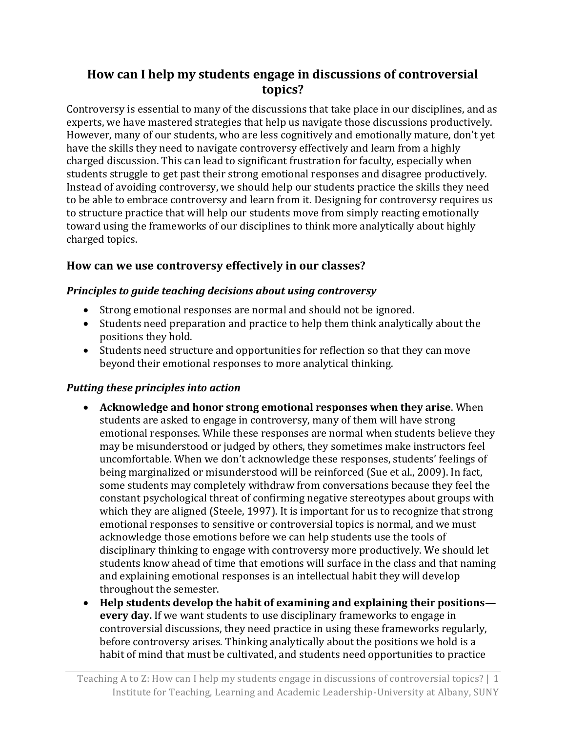# **How can I help my students engage in discussions of controversial topics?**

Controversy is essential to many of the discussions that take place in our disciplines, and as experts, we have mastered strategies that help us navigate those discussions productively. However, many of our students, who are less cognitively and emotionally mature, don't yet have the skills they need to navigate controversy effectively and learn from a highly charged discussion. This can lead to significant frustration for faculty, especially when students struggle to get past their strong emotional responses and disagree productively. Instead of avoiding controversy, we should help our students practice the skills they need to be able to embrace controversy and learn from it. Designing for controversy requires us to structure practice that will help our students move from simply reacting emotionally toward using the frameworks of our disciplines to think more analytically about highly charged topics.

# **How can we use controversy effectively in our classes?**

#### *Principles to guide teaching decisions about using controversy*

- Strong emotional responses are normal and should not be ignored.
- Students need preparation and practice to help them think analytically about the positions they hold.
- Students need structure and opportunities for reflection so that they can move beyond their emotional responses to more analytical thinking.

## *Putting these principles into action*

- **Acknowledge and honor strong emotional responses when they arise**. When students are asked to engage in controversy, many of them will have strong emotional responses. While these responses are normal when students believe they may be misunderstood or judged by others, they sometimes make instructors feel uncomfortable. When we don't acknowledge these responses, students' feelings of being marginalized or misunderstood will be reinforced (Sue et al., 2009). In fact, some students may completely withdraw from conversations because they feel the constant psychological threat of confirming negative stereotypes about groups with which they are aligned (Steele, 1997). It is important for us to recognize that strong emotional responses to sensitive or controversial topics is normal, and we must acknowledge those emotions before we can help students use the tools of disciplinary thinking to engage with controversy more productively. We should let students know ahead of time that emotions will surface in the class and that naming and explaining emotional responses is an intellectual habit they will develop throughout the semester.
- **Help students develop the habit of examining and explaining their positions every day.** If we want students to use disciplinary frameworks to engage in controversial discussions, they need practice in using these frameworks regularly, before controversy arises. Thinking analytically about the positions we hold is a habit of mind that must be cultivated, and students need opportunities to practice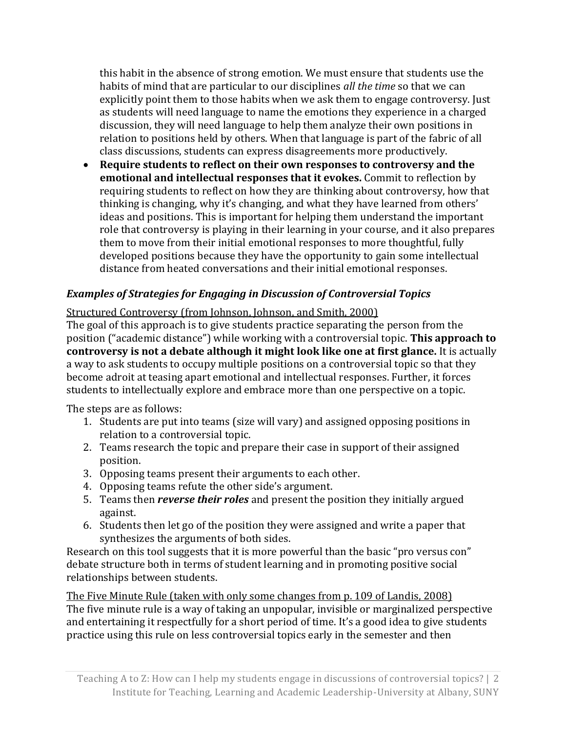this habit in the absence of strong emotion. We must ensure that students use the habits of mind that are particular to our disciplines *all the time* so that we can explicitly point them to those habits when we ask them to engage controversy. Just as students will need language to name the emotions they experience in a charged discussion, they will need language to help them analyze their own positions in relation to positions held by others. When that language is part of the fabric of all class discussions, students can express disagreements more productively.

 **Require students to reflect on their own responses to controversy and the emotional and intellectual responses that it evokes.** Commit to reflection by requiring students to reflect on how they are thinking about controversy, how that thinking is changing, why it's changing, and what they have learned from others' ideas and positions. This is important for helping them understand the important role that controversy is playing in their learning in your course, and it also prepares them to move from their initial emotional responses to more thoughtful, fully developed positions because they have the opportunity to gain some intellectual distance from heated conversations and their initial emotional responses.

## *Examples of Strategies for Engaging in Discussion of Controversial Topics*

#### Structured Controversy (from Johnson, Johnson, and Smith, 2000)

The goal of this approach is to give students practice separating the person from the position ("academic distance") while working with a controversial topic. **This approach to controversy is not a debate although it might look like one at first glance.** It is actually a way to ask students to occupy multiple positions on a controversial topic so that they become adroit at teasing apart emotional and intellectual responses. Further, it forces students to intellectually explore and embrace more than one perspective on a topic.

The steps are as follows:

- 1. Students are put into teams (size will vary) and assigned opposing positions in relation to a controversial topic.
- 2. Teams research the topic and prepare their case in support of their assigned position.
- 3. Opposing teams present their arguments to each other.
- 4. Opposing teams refute the other side's argument.
- 5. Teams then *reverse their roles* and present the position they initially argued against.
- 6. Students then let go of the position they were assigned and write a paper that synthesizes the arguments of both sides.

Research on this tool suggests that it is more powerful than the basic "pro versus con" debate structure both in terms of student learning and in promoting positive social relationships between students.

The Five Minute Rule (taken with only some changes from p. 109 of Landis, 2008) The five minute rule is a way of taking an unpopular, invisible or marginalized perspective and entertaining it respectfully for a short period of time. It's a good idea to give students practice using this rule on less controversial topics early in the semester and then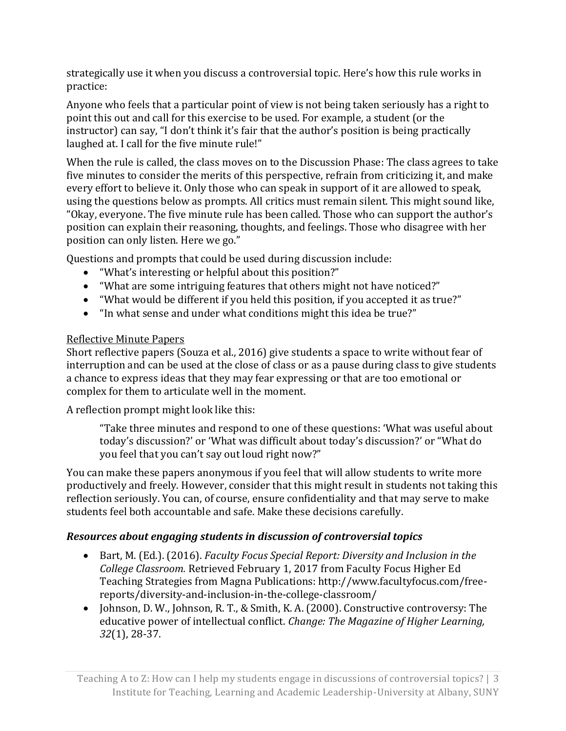strategically use it when you discuss a controversial topic. Here's how this rule works in practice:

Anyone who feels that a particular point of view is not being taken seriously has a right to point this out and call for this exercise to be used. For example, a student (or the instructor) can say, "I don't think it's fair that the author's position is being practically laughed at. I call for the five minute rule!"

When the rule is called, the class moves on to the Discussion Phase: The class agrees to take five minutes to consider the merits of this perspective, refrain from criticizing it, and make every effort to believe it. Only those who can speak in support of it are allowed to speak, using the questions below as prompts. All critics must remain silent. This might sound like, "Okay, everyone. The five minute rule has been called. Those who can support the author's position can explain their reasoning, thoughts, and feelings. Those who disagree with her position can only listen. Here we go."

Questions and prompts that could be used during discussion include:

- "What's interesting or helpful about this position?"
- "What are some intriguing features that others might not have noticed?"
- "What would be different if you held this position, if you accepted it as true?"
- "In what sense and under what conditions might this idea be true?"

#### Reflective Minute Papers

Short reflective papers (Souza et al., 2016) give students a space to write without fear of interruption and can be used at the close of class or as a pause during class to give students a chance to express ideas that they may fear expressing or that are too emotional or complex for them to articulate well in the moment.

A reflection prompt might look like this:

"Take three minutes and respond to one of these questions: 'What was useful about today's discussion?' or 'What was difficult about today's discussion?' or "What do you feel that you can't say out loud right now?"

You can make these papers anonymous if you feel that will allow students to write more productively and freely. However, consider that this might result in students not taking this reflection seriously. You can, of course, ensure confidentiality and that may serve to make students feel both accountable and safe. Make these decisions carefully.

## *Resources about engaging students in discussion of controversial topics*

- Bart, M. (Ed.). (2016). *Faculty Focus Special Report: Diversity and Inclusion in the College Classroom.* Retrieved February 1, 2017 from Faculty Focus Higher Ed Teaching Strategies from Magna Publications: http://www.facultyfocus.com/freereports/diversity-and-inclusion-in-the-college-classroom/
- Johnson, D. W., Johnson, R. T., & Smith, K. A. (2000). Constructive controversy: The educative power of intellectual conflict. *Change: The Magazine of Higher Learning, 32*(1), 28-37.